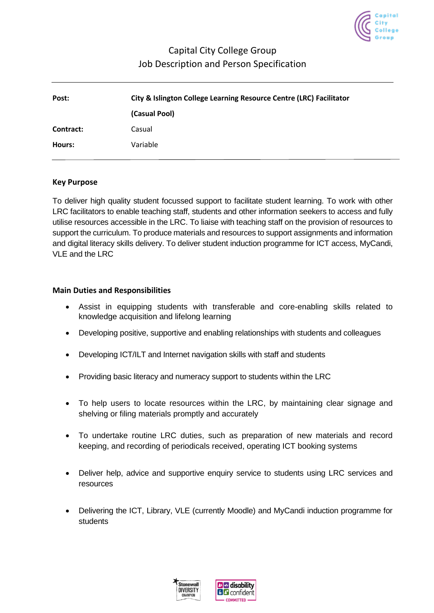

# Capital City College Group Job Description and Person Specification

| Post:     | City & Islington College Learning Resource Centre (LRC) Facilitator |  |  |
|-----------|---------------------------------------------------------------------|--|--|
|           | (Casual Pool)                                                       |  |  |
| Contract: | Casual                                                              |  |  |
| Hours:    | Variable                                                            |  |  |

#### **Key Purpose**

To deliver high quality student focussed support to facilitate student learning. To work with other LRC facilitators to enable teaching staff, students and other information seekers to access and fully utilise resources accessible in the LRC. To liaise with teaching staff on the provision of resources to support the curriculum. To produce materials and resources to support assignments and information and digital literacy skills delivery. To deliver student induction programme for ICT access, MyCandi, VLE and the LRC

#### **Main Duties and Responsibilities**

- Assist in equipping students with transferable and core-enabling skills related to knowledge acquisition and lifelong learning
- Developing positive, supportive and enabling relationships with students and colleagues
- Developing ICT/ILT and Internet navigation skills with staff and students
- Providing basic literacy and numeracy support to students within the LRC
- To help users to locate resources within the LRC, by maintaining clear signage and shelving or filing materials promptly and accurately
- To undertake routine LRC duties, such as preparation of new materials and record keeping, and recording of periodicals received, operating ICT booking systems
- Deliver help, advice and supportive enquiry service to students using LRC services and resources
- Delivering the ICT, Library, VLE (currently Moodle) and MyCandi induction programme for students

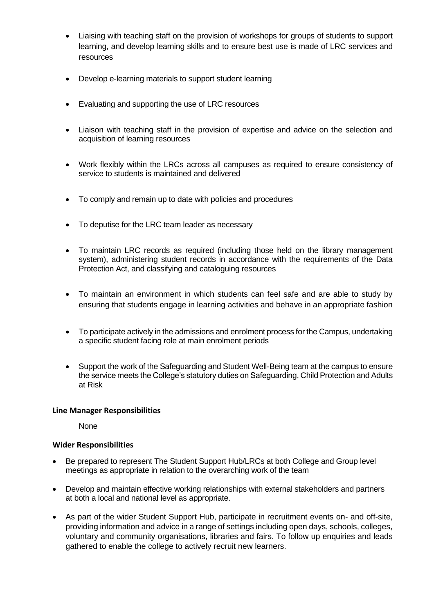- Liaising with teaching staff on the provision of workshops for groups of students to support learning, and develop learning skills and to ensure best use is made of LRC services and resources
- Develop e-learning materials to support student learning
- Evaluating and supporting the use of LRC resources
- Liaison with teaching staff in the provision of expertise and advice on the selection and acquisition of learning resources
- Work flexibly within the LRCs across all campuses as required to ensure consistency of service to students is maintained and delivered
- To comply and remain up to date with policies and procedures
- To deputise for the LRC team leader as necessary
- To maintain LRC records as required (including those held on the library management system), administering student records in accordance with the requirements of the Data Protection Act, and classifying and cataloguing resources
- To maintain an environment in which students can feel safe and are able to study by ensuring that students engage in learning activities and behave in an appropriate fashion
- To participate actively in the admissions and enrolment process for the Campus, undertaking a specific student facing role at main enrolment periods
- Support the work of the Safeguarding and Student Well-Being team at the campus to ensure the service meets the College's statutory duties on Safeguarding, Child Protection and Adults at Risk

#### **Line Manager Responsibilities**

None

#### **Wider Responsibilities**

- Be prepared to represent The Student Support Hub/LRCs at both College and Group level meetings as appropriate in relation to the overarching work of the team
- Develop and maintain effective working relationships with external stakeholders and partners at both a local and national level as appropriate.
- As part of the wider Student Support Hub, participate in recruitment events on- and off-site, providing information and advice in a range of settings including open days, schools, colleges, voluntary and community organisations, libraries and fairs. To follow up enquiries and leads gathered to enable the college to actively recruit new learners.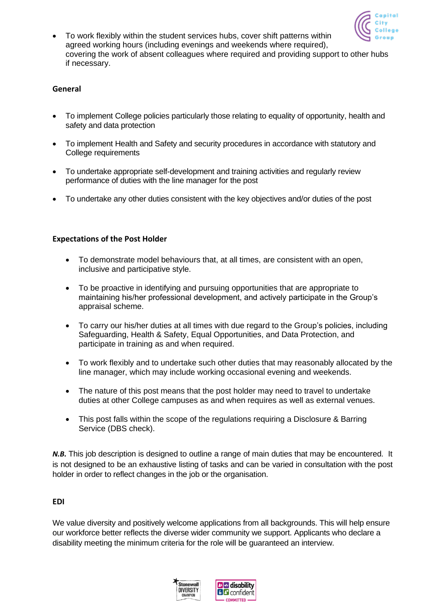

• To work flexibly within the student services hubs, cover shift patterns within agreed working hours (including evenings and weekends where required), covering the work of absent colleagues where required and providing support to other hubs if necessary.

#### **General**

- To implement College policies particularly those relating to equality of opportunity, health and safety and data protection
- To implement Health and Safety and security procedures in accordance with statutory and College requirements
- To undertake appropriate self-development and training activities and regularly review performance of duties with the line manager for the post
- To undertake any other duties consistent with the key objectives and/or duties of the post

#### **Expectations of the Post Holder**

- To demonstrate model behaviours that, at all times, are consistent with an open, inclusive and participative style.
- To be proactive in identifying and pursuing opportunities that are appropriate to maintaining his/her professional development, and actively participate in the Group's appraisal scheme.
- To carry our his/her duties at all times with due regard to the Group's policies, including Safeguarding, Health & Safety, Equal Opportunities, and Data Protection, and participate in training as and when required.
- To work flexibly and to undertake such other duties that may reasonably allocated by the line manager, which may include working occasional evening and weekends.
- The nature of this post means that the post holder may need to travel to undertake duties at other College campuses as and when requires as well as external venues.
- This post falls within the scope of the regulations requiring a Disclosure & Barring Service (DBS check).

*N.B.* This job description is designed to outline a range of main duties that may be encountered. It is not designed to be an exhaustive listing of tasks and can be varied in consultation with the post holder in order to reflect changes in the job or the organisation.

#### **EDI**

We value diversity and positively welcome applications from all backgrounds. This will help ensure our workforce better reflects the diverse wider community we support. Applicants who declare a disability meeting the minimum criteria for the role will be guaranteed an interview.

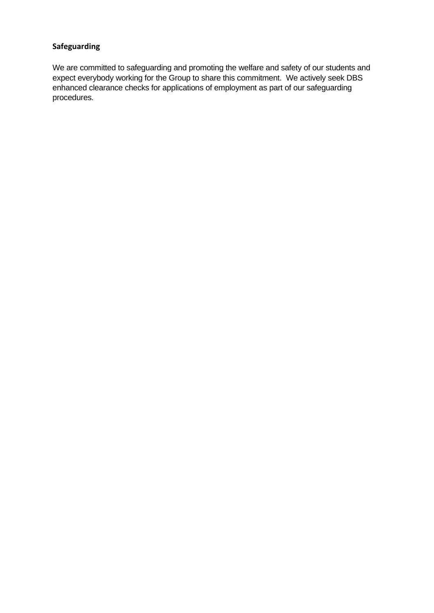## **Safeguarding**

We are committed to safeguarding and promoting the welfare and safety of our students and expect everybody working for the Group to share this commitment. We actively seek DBS enhanced clearance checks for applications of employment as part of our safeguarding procedures.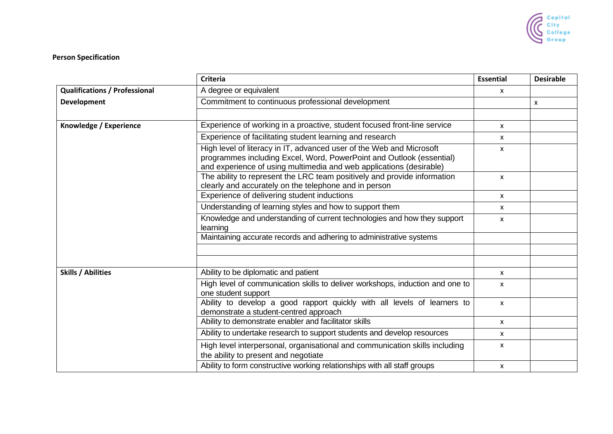

### **Person Specification**

|                                      | <b>Criteria</b>                                                                                                                                                                                                     | <b>Essential</b> | <b>Desirable</b> |
|--------------------------------------|---------------------------------------------------------------------------------------------------------------------------------------------------------------------------------------------------------------------|------------------|------------------|
| <b>Qualifications / Professional</b> | A degree or equivalent                                                                                                                                                                                              | x                |                  |
| <b>Development</b>                   | Commitment to continuous professional development                                                                                                                                                                   |                  | $\mathsf{x}$     |
|                                      |                                                                                                                                                                                                                     |                  |                  |
| Knowledge / Experience               | Experience of working in a proactive, student focused front-line service                                                                                                                                            | x                |                  |
|                                      | Experience of facilitating student learning and research                                                                                                                                                            | <b>X</b>         |                  |
|                                      | High level of literacy in IT, advanced user of the Web and Microsoft<br>programmes including Excel, Word, PowerPoint and Outlook (essential)<br>and experience of using multimedia and web applications (desirable) | X                |                  |
|                                      | The ability to represent the LRC team positively and provide information<br>clearly and accurately on the telephone and in person                                                                                   | X                |                  |
|                                      | Experience of delivering student inductions                                                                                                                                                                         | X                |                  |
|                                      | Understanding of learning styles and how to support them                                                                                                                                                            | X                |                  |
|                                      | Knowledge and understanding of current technologies and how they support<br>learning                                                                                                                                | X                |                  |
|                                      | Maintaining accurate records and adhering to administrative systems                                                                                                                                                 |                  |                  |
|                                      |                                                                                                                                                                                                                     |                  |                  |
| <b>Skills / Abilities</b>            | Ability to be diplomatic and patient                                                                                                                                                                                | X                |                  |
|                                      | High level of communication skills to deliver workshops, induction and one to<br>one student support                                                                                                                | X                |                  |
|                                      | Ability to develop a good rapport quickly with all levels of learners to<br>demonstrate a student-centred approach                                                                                                  | $\mathsf{x}$     |                  |
|                                      | Ability to demonstrate enabler and facilitator skills                                                                                                                                                               | X                |                  |
|                                      | Ability to undertake research to support students and develop resources                                                                                                                                             | $\mathsf{x}$     |                  |
|                                      | High level interpersonal, organisational and communication skills including<br>the ability to present and negotiate                                                                                                 | X                |                  |
|                                      | Ability to form constructive working relationships with all staff groups                                                                                                                                            | X                |                  |